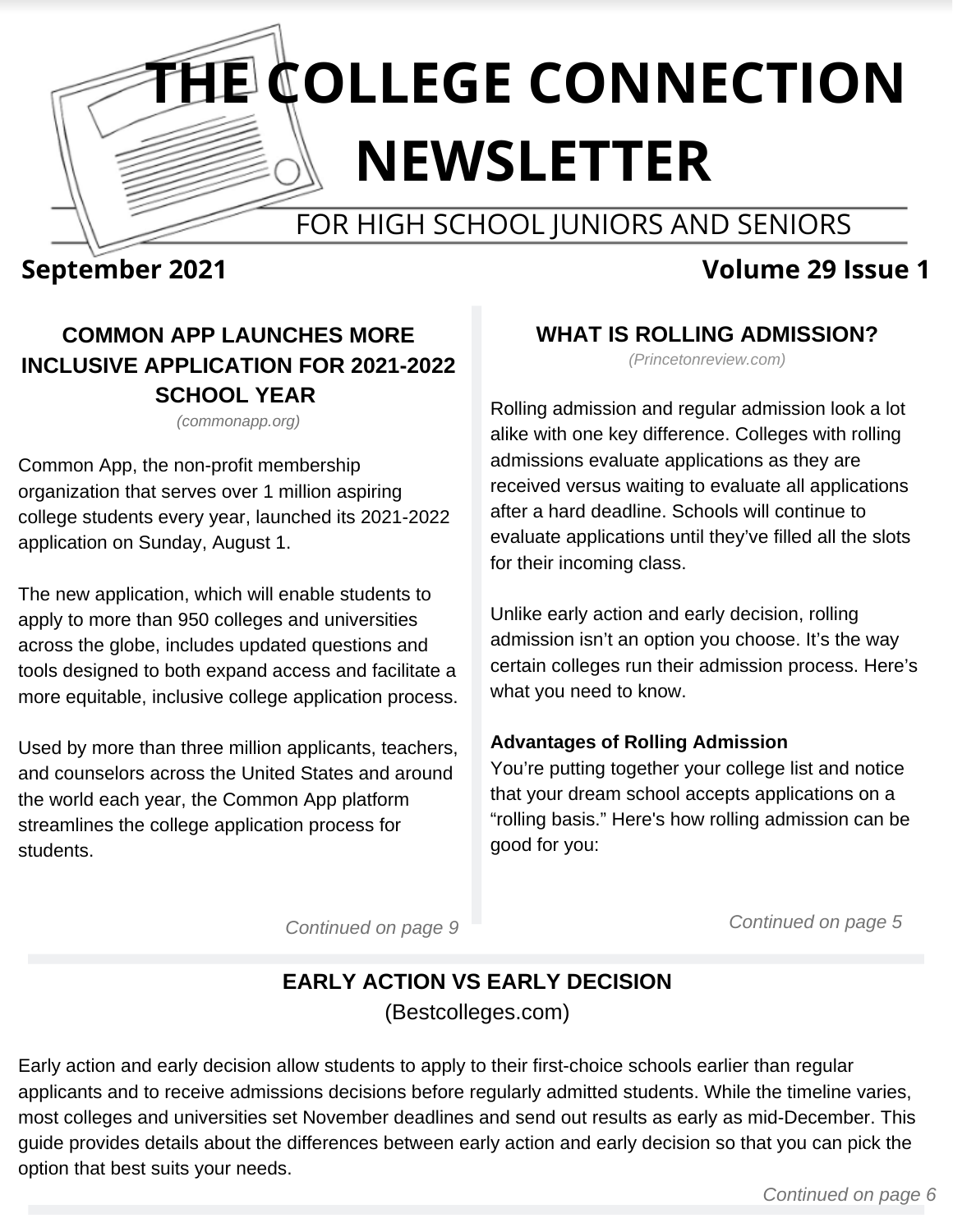# **THE COLLEGE CONNECTION NEWSLETTER**

## FOR HIGH SCHOOL JUNIORS AND SENIORS

## **September 2021 Volume 29 Issue 1**

## **COMMON APP LAUNCHES MORE INCLUSIVE APPLICATION FOR 2021-2022 SCHOOL YEAR**

*(commonapp.org)*

Common App, the non-profit membership organization that serves over 1 million aspiring college students every year, launched its 2021-2022 application on Sunday, August 1.

The new application, which will enable students to apply to more than 950 colleges and universities across the globe, includes updated questions and tools designed to both expand access and facilitate a more equitable, inclusive college application process.

Used by more than three million applicants, teachers, and counselors across the United States and around the world each year, the Common App platform streamlines the college application process for students.

#### **WHAT IS ROLLING ADMISSION?**

*(Princetonreview.com)*

Rolling admission and regular admission look a lot alike with one key difference. Colleges with rolling admissions evaluate applications as they are received versus waiting to evaluate all applications after a hard deadline. Schools will continue to evaluate applications until they've filled all the slots for their incoming class.

Unlike [early action and early decision](https://www.princetonreview.com/college-advice/early-action-vs-early-decision), rolling admission isn't an option you choose. It's the way certain colleges run their admission process. Here's what you need to know.

#### **Advantages of Rolling Admission**

You're putting together your college list and notice that your dream school accepts applications on a "rolling basis." Here's how rolling admission can be good for you:

*Continued on page 9*

*Continued on page 5*

## **EARLY ACTION VS EARLY DECISION** (Bestcolleges.com)

Early action and early decision allow students to apply to their first-choice schools earlier than regular applicants and to receive admissions decisions before regularly admitted students. While the timeline varies, most colleges and universities set November deadlines and send out results as early as mid-December. This guide provides details about the differences between early action and early decision so that you can pick the option that best suits your needs.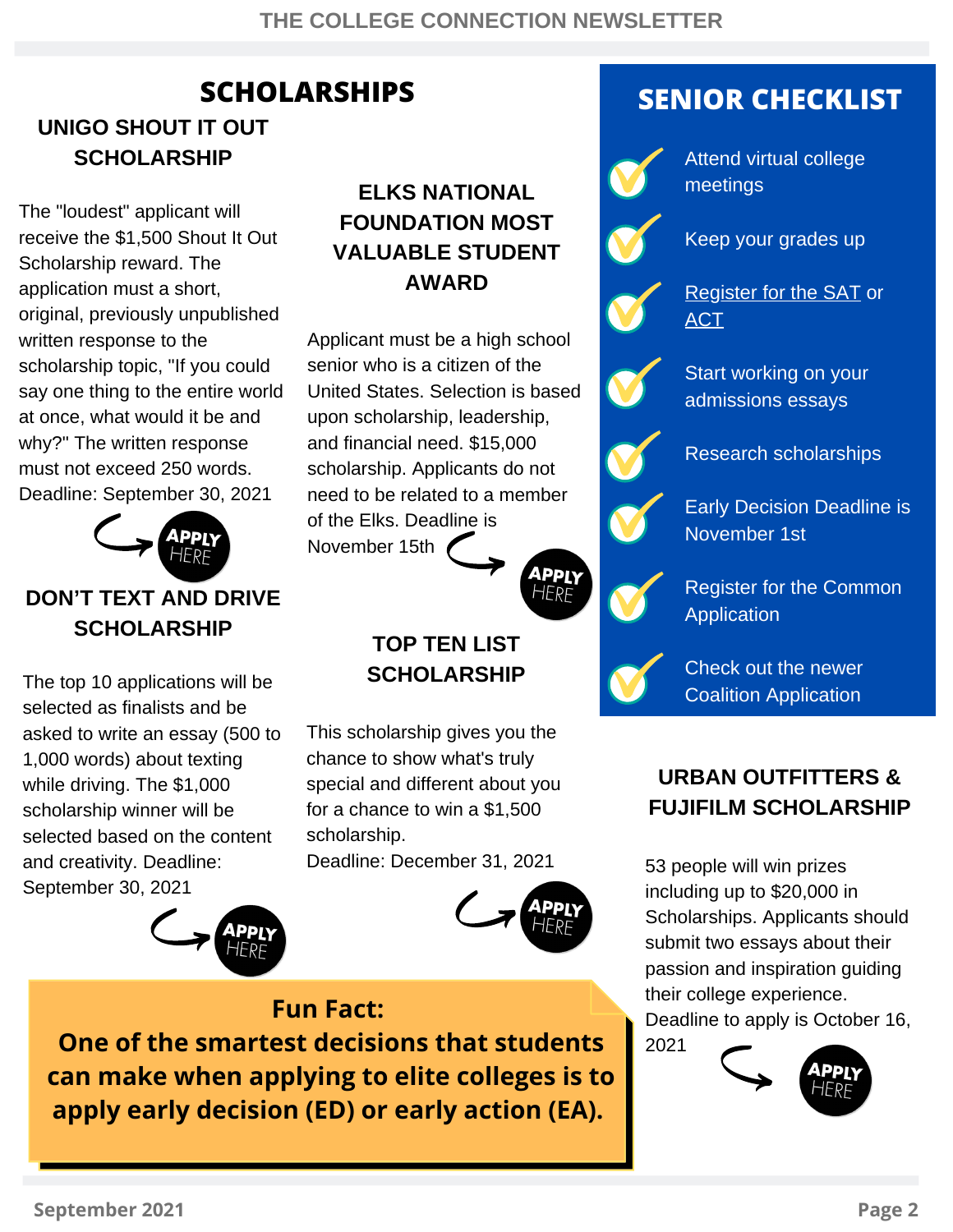## **UNIGO SHOUT IT OUT SCHOLARSHIP**

The "loudest" applicant will receive the \$1,500 Shout It Out Scholarship reward. The application must a short, original, previously unpublished written response to the scholarship topic, "If you could say one thing to the entire world at once, what would it be and why?" The written response must not exceed 250 words. Deadline: September 30, 2021



## **DON'T TEXT AND DRIVE SCHOLARSHIP**

The top 10 applications will be selected as finalists and be asked to write an essay (500 to 1,000 words) about texting while driving. The \$1,000 scholarship winner will be selected based on the content and creativity. Deadline: September 30, 2021



## **ELKS NATIONAL [FOUNDATION](http://www.collegescholarships.org/financial-aid/scholarship/elks-national-foundation-most-valuable-student-award) MOST VALUABLE STUDENT AWARD**

Applicant must be a high school senior who is a citizen of the United States. Selection is based upon scholarship, leadership, and financial need. \$15,000 scholarship. Applicants do not need to be related to a member of the Elks. Deadline is November 15th



## **TOP TEN LIST SCHOLARSHIP**

This scholarship gives you the chance to show what's truly special and different about you for a chance to win a \$1,500 scholarship. Deadline: December 31, 2021



## **SCHOLARSHIPS SENIOR CHECKLIST**



Attend virtual college meetings

Keep your grades up



[Register](http://www.collegeboard.org/) for the SAT or **[ACT](http://www.actstudent.org/)** 



Start working on your admissions essays

Research scholarships



Early Decision Deadline is November 1st



Register for the Common **[Application](http://www.commonapp.org/)** 



Check out the newer Coalition [Application](http://www.coalitionforcollegeaccess.org/)

## **URBAN OUTFITTERS & FUJIFILM SCHOLARSHIP**

53 people will win prizes including up to \$20,000 in Scholarships. Applicants should submit two essays about their passion and inspiration guiding their college experience. Deadline t[o apply](https://www.myscholarship.app/uo-fujifilm-scholarship-2021) is October 16, 2021



## **Fun Fact:**

**One of the smartest decisions that students can make when applying to elite colleges is to apply early decision (ED) or early action (EA).**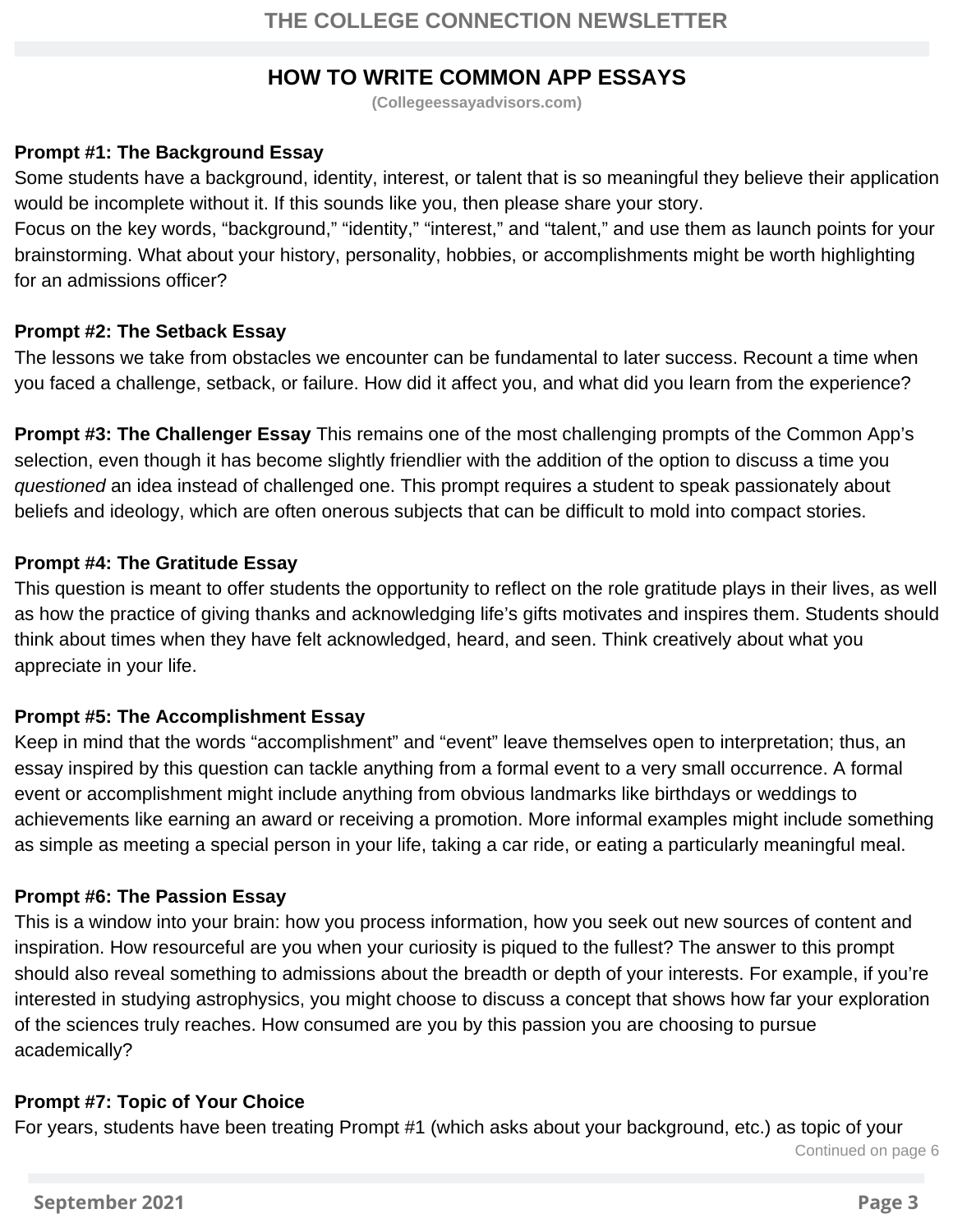#### **HOW TO WRITE COMMON APP ESSAYS**

**(Collegeessayadvisors.com)**

#### **Prompt #1: The Background Essay**

Some students have a background, identity, interest, or talent that is so meaningful they believe their application would be incomplete without it. If this sounds like you, then please share your story.

Focus on the key words, "background," "identity," "interest," and "talent," and use them as launch points for your brainstorming. What about your history, personality, hobbies, or accomplishments might be worth highlighting for an admissions officer?

#### **Prompt #2: The Setback Essay**

The lessons we take from obstacles we encounter can be fundamental to later success. Recount a time when you faced a challenge, setback, or failure. How did it affect you, and what did you learn from the experience?

**Prompt #3: The Challenger Essay** This remains one of the most challenging prompts of the Common App's selection, even though it has become slightly friendlier with the addition of the option to discuss a time you *questioned* an idea instead of challenged one. This prompt requires a student to speak passionately about beliefs and ideology, which are often onerous subjects that can be difficult to mold into compact stories.

#### **Prompt #4: The Gratitude Essay**

This question is meant to offer students the opportunity to reflect on the role gratitude plays in their lives, as well as how the practice of giving thanks and acknowledging life's gifts motivates and inspires them. Students should think about times when they have felt acknowledged, heard, and seen. Think creatively about what you appreciate in your life.

#### **Prompt #5: The Accomplishment Essay**

Keep in mind that the words "accomplishment" and "event" leave themselves open to interpretation; thus, an essay inspired by this question can tackle anything from a formal event to a very small occurrence. A formal event or accomplishment might include anything from obvious landmarks like birthdays or weddings to achievements like earning an award or receiving a promotion. More informal examples might include something as simple as meeting a special person in your life, taking a car ride, or eating a particularly meaningful meal.

#### **Prompt #6: The Passion Essay**

This is a window into your brain: how you process information, how you seek out new sources of content and inspiration. How resourceful are you when your curiosity is piqued to the fullest? The answer to this prompt should also reveal something to admissions about the breadth or depth of your interests. For example, if you're interested in studying astrophysics, you might choose to discuss a concept that shows how far your exploration of the sciences truly reaches. How consumed are you by this passion you are choosing to pursue academically?

#### **Prompt #7: Topic of Your Choice**

For years, students have been treating Prompt #1 (which asks about your background, etc.) as topic of your

Continued on page 6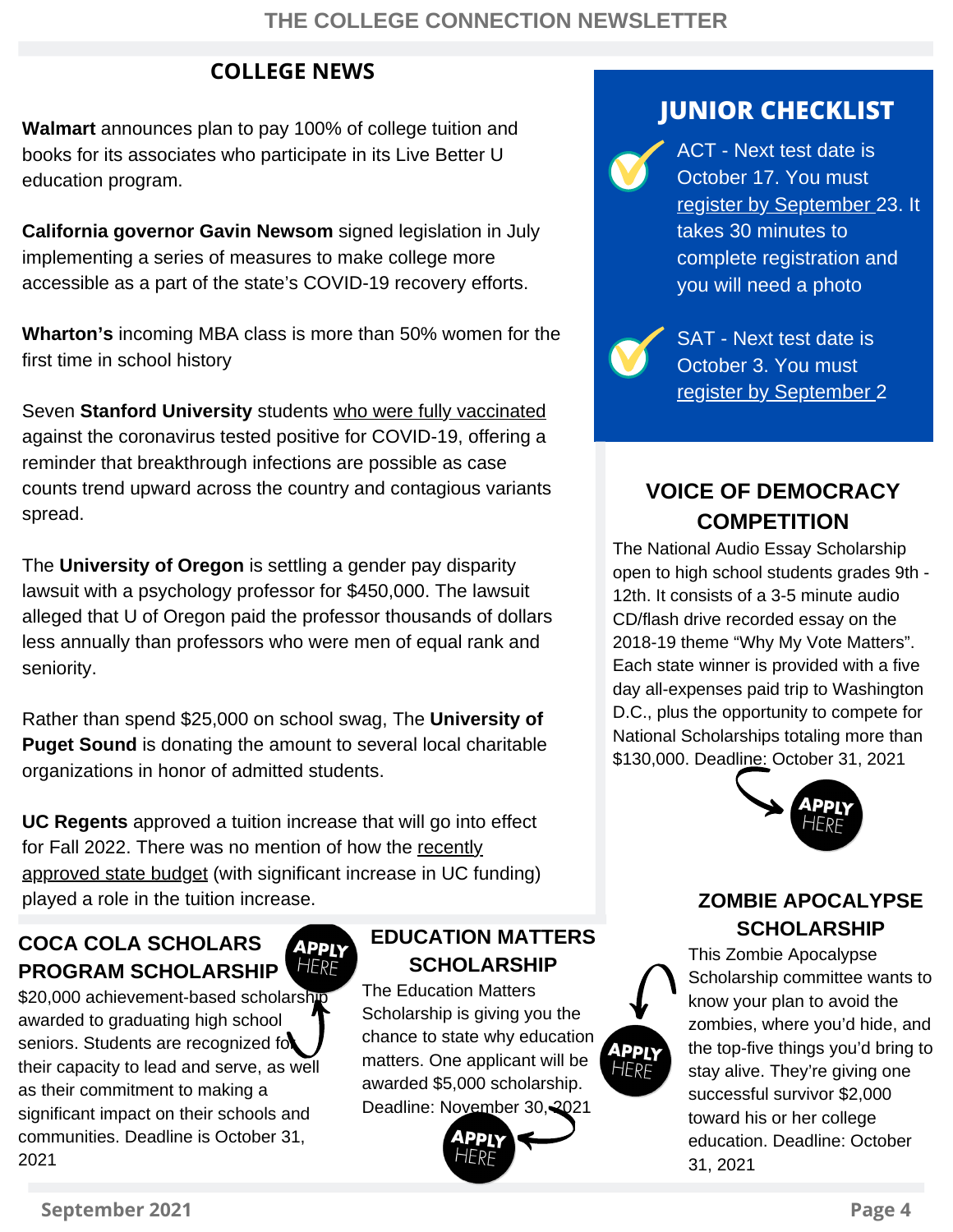### **COLLEGE NEWS**

**Walmart** announces plan to pay 100% of college tuition and books for its associates who participate in its Live Better U education program.

**California governor Gavin Newsom** signed legislation in July implementing a series of measures to make college more accessible as a part of the state's COVID-19 recovery efforts.

**Wharton's** incoming MBA class is more than 50% women for the first time in school history

Seven **Stanford University** students [who were fully vaccinated](https://news.stanford.edu/today/2021/07/22/important-update-student-covid-cases/) against the coronavirus tested positive for COVID-19, offering a reminder that breakthrough infections are possible as case counts trend upward across the country and contagious variants spread.

The **University of Oregon** is settling a gender pay disparity lawsuit with a psychology professor for \$450,000. The lawsuit alleged that U of Oregon paid the professor thousands of dollars less annually than professors who were men of equal rank and seniority.

Rather than spend \$25,000 on school swag, The **University of Puget Sound** is donating the amount to several local charitable organizations in honor of admitted students.

**UC Regents** approved a tuition increase that will go into effect for Fall 2022. There was no mention of how the recently [approved state budget \(with significant increase in UC fu](http://www.ebudget.ca.gov/2021-22/pdf/Enacted/BudgetSummary/HigherEducation.pdf)nding) played a role in the tuition increase.

> APPLY HERF

#### **COCA COLA SCHOLARS PROGRAM SCHOLARSHIP**

\$20,000 achievement-based schol[arship](https://www.coca-colascholarsfoundation.org/apply/) awarded to graduating high school seniors. Students are recognized for their capacity to lead and serve, as well as their commitment to making a significant impact on their schools and communities. Deadline is October 31, 2021

#### **EDUCATION MATTERS SCHOLARSHIP**

The Education Matters Scholarship is giving you the chance to state why education matters. One applicant will be awarded \$5,000 scholarship. Deadline: [November](https://www.unigo.com/scholarships/our-scholarships/education-matters-scholarship) 30, 2021



## **JUNIOR CHECKLIST**

ACT - Next test date is October 17. You must register by [September](https://www.act.org/content/act/en/products-and-services/the-act/registration.html) 23. It takes 30 minutes to complete registration and you will need a photo



SAT - Next test date is October 3. You must register by [September](https://collegereadiness.collegeboard.org/sat/register/dates-deadlines) 2

## **VOICE OF DEMOCRACY COMPETITION**

The National Audio Essay Scholarship open to high school students grades 9th - 12th. It consists of a 3-5 minute audio CD/flash drive recorded essay on the 2018-19 theme "Why My Vote Matters". Each state winner is provided with a five day all-expenses paid trip to Washington D.C., plus the opportunity to compete for National Scholarships totaling more than \$130,000. Deadline: October 31, 2021



#### **ZOMBIE APOCALYPSE SCHOLARSHIP**

This Zombie Apocalypse Scholarship committee wants to know your plan to avoid the zombies, where you'd hide, and the top-five things you'd bring to stay alive. They're giving one successful survivor \$2,000 toward his or her college education. Deadline: October 31, 2021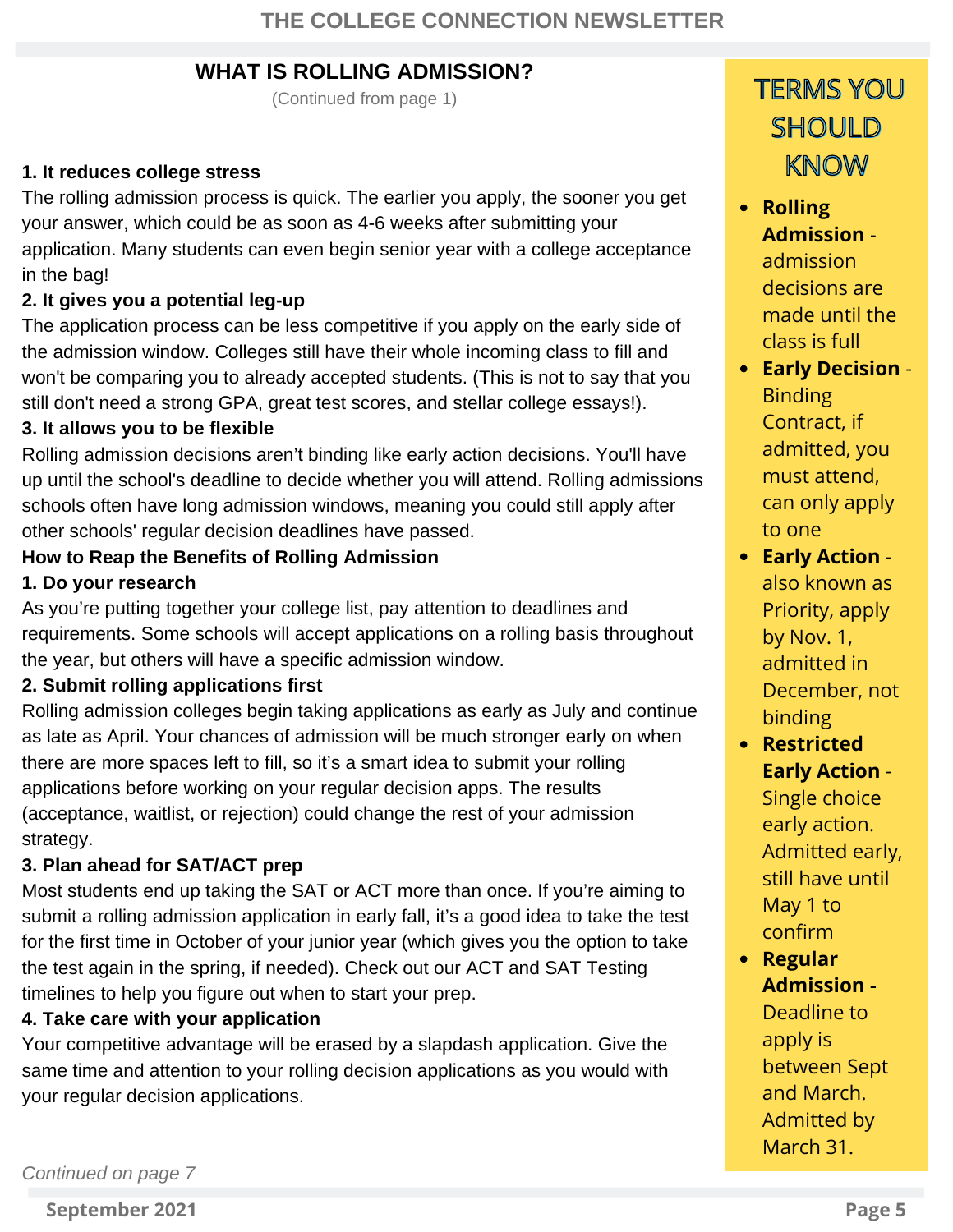#### **WHAT IS ROLLING ADMISSION?**

(Continued from page 1)

#### **1. It reduces college stress**

The rolling admission process is quick. The earlier you apply, the sooner you get your answer, which could be as soon as 4-6 weeks after submitting your application. Many students can even begin senior year with a college acceptance in the bag!

#### **2. It gives you a potential leg-up**

The application process can be less competitive if you apply on the early side of the admission window. Colleges still have their whole incoming class to fill and won't be comparing you to already accepted students. (This is not to say that you still don't need a strong GPA, great test scores, and stellar [college essays!](https://www.princetonreview.com/college-advice/college-essay)).

#### **3. It allows you to be flexible**

Rolling admission decisions aren't binding like early action decisions. You'll have up until the school's deadline to decide whether you will attend. Rolling admissions schools often have long admission windows, meaning you could still apply after other schools' regular decision deadlines have passed.

#### **How to Reap the Benefits of Rolling Admission**

#### **1. Do your research**

As you're putting together your college list, pay attention to deadlines and requirements. Some schools will accept applications on a rolling basis throughout the year, but others will have a specific admission window.

#### **2. Submit rolling applications first**

Rolling admission colleges begin taking applications as early as July and continue as late as April. Your chances of admission will be much stronger early on when there are more spaces left to fill, so it's a smart idea to submit your rolling applications before working on your regular decision apps. The results (acceptance, waitlist, or rejection) could change the rest of your admission strategy.

#### **3. Plan ahead for SAT/ACT prep**

Most students end up taking the SAT or ACT more than once. If you're aiming to submit a rolling admission application in early fall, it's a good idea to take the test for the first time in October of your junior year (which gives you the option to take [the test again in the spring, if needed\). Check out our ACT and SAT Testing](https://www.princetonreview.com/college/sat-act-testing-timeline) timelines to help you figure out when to start your prep.

#### **4. Take care with your application**

Your competitive advantage will be erased by a slapdash application. Give the same time and attention to your rolling decision applications as you would with your regular decision applications.

## TERMS YOU **SHOULD** KNOW

**Rolling Admission** admission decisions are made until the class is full

- **Early Decision** Binding Contract, if admitted, you must attend, can only apply to one
- **Early Action** also known as Priority, apply by Nov. 1, admitted in December, not binding
- **Restricted Early Action** - Single choice early action. Admitted early, still have until May 1 to confirm
- **Regular Admission -** Deadline to apply is between Sept and March. Admitted by March 31.

*Continued on page 7*

**September 2021 Page 5**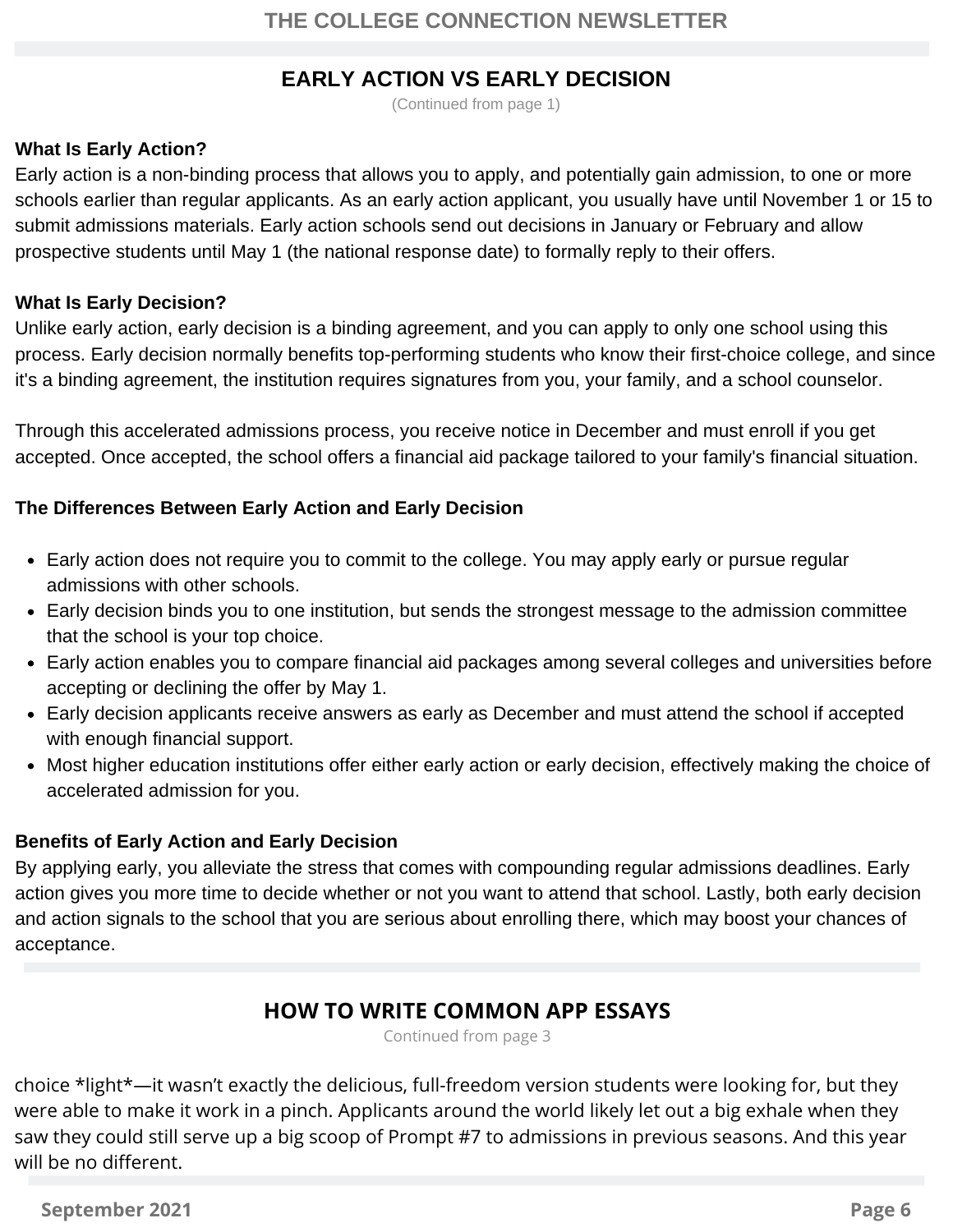#### **EARLY ACTION VS EARLY DECISION**

(Continued from page 1)

#### **What Is Early Action?**

Early action is a non-binding process that allows you to apply, and potentially gain admission, to one or more schools earlier than regular applicants. As an early action applicant, you usually have until November 1 or 15 to submit admissions materials. Early action schools send out decisions in January or February and allow prospective students until May 1 (the national response date) to formally reply to their offers.

#### **What Is Early Decision?**

Unlike early action, early decision is a binding agreement, and you can apply to only one school using this process. Early decision normally benefits top-performing students who know their first-choice college, and since it's a binding agreement, the institution requires signatures from you, your family, and a school counselor.

Through this accelerated admissions process, you receive notice in December and must enroll if you get accepted. Once accepted, the school offers a financial aid package tailored to your family's financial situation.

#### **The Differences Between Early Action and Early Decision**

- Early action does not require you to commit to the college. You may apply early or pursue regular admissions with other schools.
- Early decision binds you to one institution, but sends the strongest message to the admission committee that the school is your top choice.
- Early action enables you to compare financial aid packages among several colleges and universities before accepting or declining the offer by May 1.
- Early decision applicants receive answers as early as December and must attend the school if accepted with enough financial support.
- Most higher education institutions offer either early action or early decision, effectively making the choice of accelerated admission for you.

#### **Benefits of Early Action and Early Decision**

By applying early, you alleviate the stress that comes with compounding regular admissions deadlines. Early action gives you more time to decide whether or not you want to attend that school. Lastly, both early decision and action signals to the school that you are serious about enrolling there, which may boost your chances of acceptance.

#### **HOW TO WRITE COMMON APP ESSAYS**

Continued from page 3

choice \*light\*—it wasn't exactly the delicious, full-freedom version students were looking for, but they were able to make it work in a pinch. Applicants around the world likely let out a big exhale when they saw they could still serve up a big scoop of Prompt #7 to admissions in previous seasons. And this year will be no different.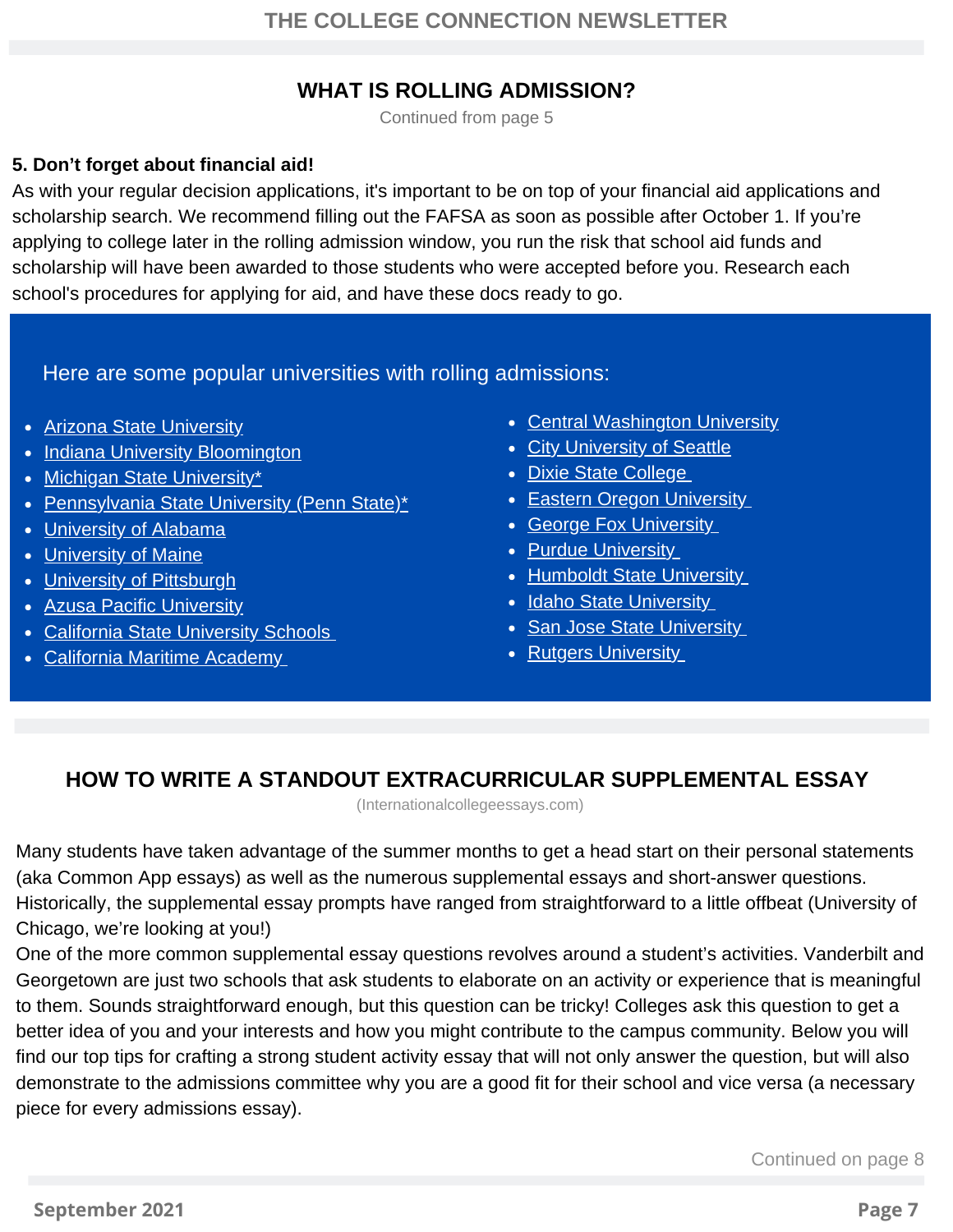#### **WHAT IS ROLLING ADMISSION?**

**WHEN Continued from page 5** 

#### **5. Don't forget about financial aid!**

As with your regular decision applications, it's important to be on top of your financial aid applications and scholarship search. We recommend filling out the [FAFSA](https://www.princetonreview.com/college-advice/fafsa-faqs) as soon as possible after October 1. If you're applying to college later in the rolling admission window, you run the risk that school aid funds and scholarship will have been awarded to those students who were accepted before you. Research each school's procedures for applying for aid, and have these docs ready to go.

Here are some popular universities with rolling admissions:

- [Arizona State University](https://students.asu.edu/freshman/requirements)
- [Indiana University Bloomington](https://admissions.indiana.edu/apply/deadlines.html)
- [Michigan State University\\*](https://admissions.msu.edu/apply/freshman/before-you-apply/dates-and-deadlines.aspx)
- [Pennsylvania State University \(Penn State\)\\*](https://admissions.psu.edu/info/future/firstyear/deadlines/)
- **·** [University of Alabama](https://gobama.ua.edu/apply/)
- [University of Maine](https://go.umaine.edu/apply/)
- [University of Pittsburgh](https://oafa.pitt.edu/apply/admissions-process/freshmen/)
- Azusa Pacific University
- California State University Schools
- California Maritime Academy
- Central Washington University
- City University of Seattle
- Dixie State College
- Eastern Oregon University
- George Fox University
- Purdue University
- Humboldt State University
- Idaho State University
- San Jose State University
- Rutgers University

## **HOW TO WRITE A STANDOUT EXTRACURRICULAR SUPPLEMENTAL ESSAY**

(Internationalcollegeessays.com)

Many students have taken advantage of the summer months to get a head start on their personal statements (aka Common App essays) as well as the numerous supplemental essays and short-answer questions. Historically, the supplemental essay prompts have ranged from straightforward to a little offbeat (University of Chicago, we're looking at you!)

One of the more common supplemental essay questions revolves around a student's activities. Vanderbilt and Georgetown are just two schools that ask students to elaborate on an activity or experience that is meaningful to them. Sounds straightforward enough, but this question can be tricky! Colleges ask this question to get a better idea of you and your interests and how you might contribute to the campus community. Below you will find our top tips for crafting a strong student activity essay that will not only answer the question, but will also demonstrate to the admissions committee why you are a good fit for their school and vice versa (a necessary piece for every admissions essay).

Continued on page 8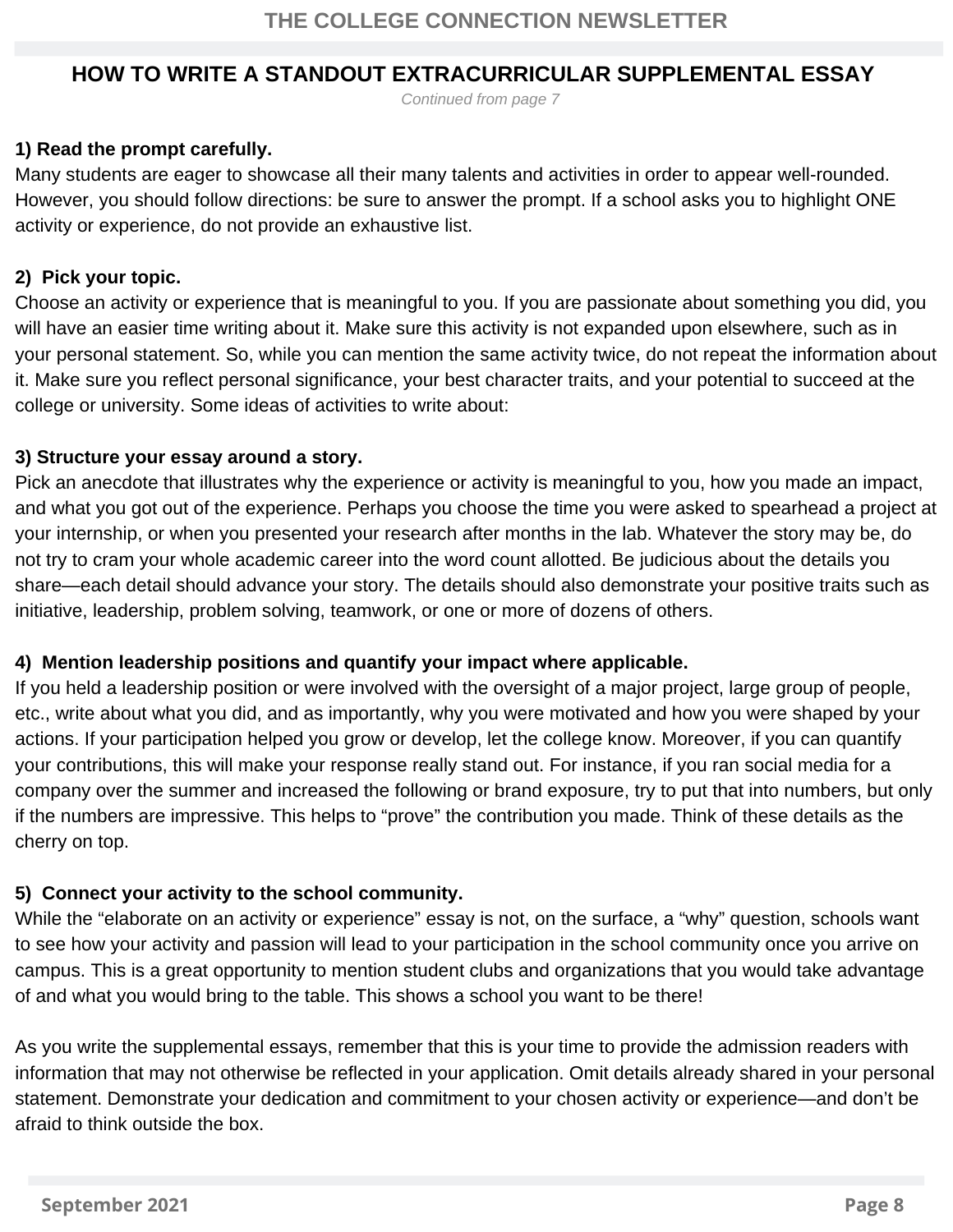#### **HOW TO WRITE A STANDOUT EXTRACURRICULAR SUPPLEMENTAL ESSAY**

*Continued from page 7*

#### **1) Read the prompt carefully.**

Many students are eager to showcase all their many talents and activities in order to appear well-rounded. However, you should follow directions: be sure to answer the prompt. If a school asks you to highlight ONE activity or experience, do not provide an exhaustive list.

#### **2) Pick your topic.**

Choose an activity or experience that is meaningful to you. If you are passionate about something you did, you will have an easier time writing about it. Make sure this activity is not expanded upon elsewhere, such as in your personal statement. So, while you can mention the same activity twice, do not repeat the information about it. Make sure you reflect personal significance, your best character traits, and your potential to succeed at the college or university. Some ideas of activities to write about:

#### **3) Structure your essay around a story.**

Pick an anecdote that illustrates why the experience or activity is meaningful to you, how you made an impact, and what you got out of the experience. Perhaps you choose the time you were asked to spearhead a project at your internship, or when you presented your research after months in the lab. Whatever the story may be, do not try to cram your whole academic career into the word count allotted. Be judicious about the details you share—each detail should advance your story. The details should also demonstrate your positive traits such as initiative, leadership, problem solving, teamwork, or one or more of dozens of others.

#### **4) Mention leadership positions and quantify your impact where applicable.**

If you held a leadership position or were involved with the oversight of a major project, large group of people, etc., write about what you did, and as importantly, why you were motivated and how you were shaped by your actions. If your participation helped you grow or develop, let the college know. Moreover, if you can quantify your contributions, this will make your response really stand out. For instance, if you ran social media for a company over the summer and increased the following or brand exposure, try to put that into numbers, but only if the numbers are impressive. This helps to "prove" the contribution you made. Think of these details as the cherry on top.

#### **5) Connect your activity to the school community.**

While the "elaborate on an activity or experience" essay is not, on the surface, a "why" question, schools want to see how your activity and passion will lead to your participation in the school community once you arrive on campus. This is a great opportunity to mention student clubs and organizations that you would take advantage of and what you would bring to the table. This shows a school you want to be there!

As you write the supplemental essays, remember that this is your time to provide the admission readers with information that may not otherwise be reflected in your application. Omit details already shared in your personal statement. Demonstrate your dedication and commitment to your chosen activity or experience—and don't be afraid to think outside the box.